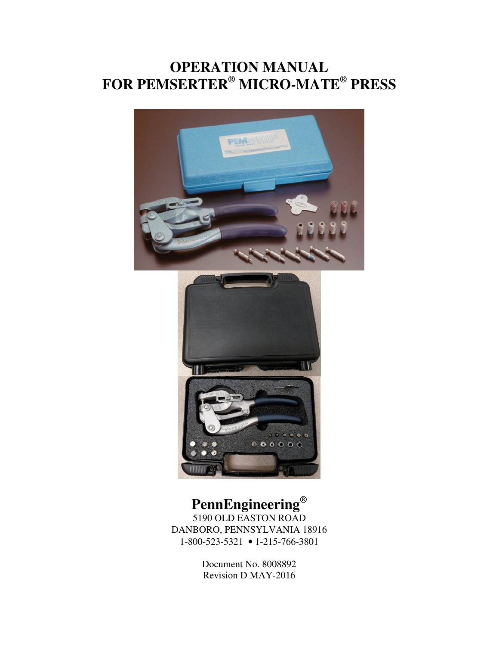# **OPERATION MANUAL FOR PEMSERTER® MICRO-MATE® PRESS**





# **PennEngineering®**

5190 OLD EASTON ROAD DANBORO, PENNSYLVANIA 18916 1-800-523-5321 • 1-215-766-3801

> Document No. 8008892 Revision D MAY-2016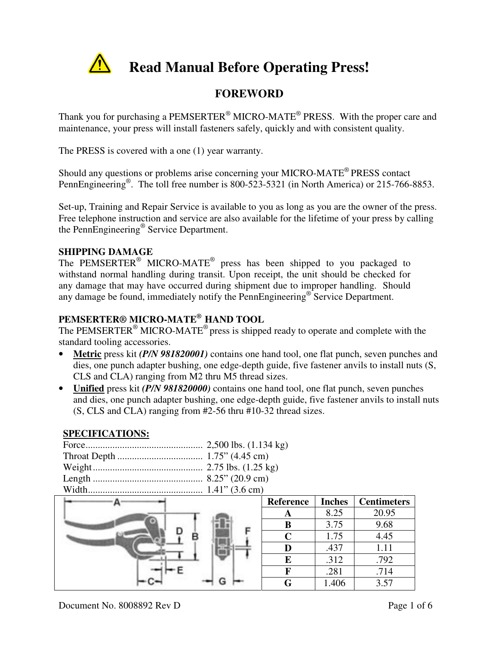

# **Read Manual Before Operating Press!**

## **FOREWORD**

Thank you for purchasing a PEMSERTER<sup>®</sup> MICRO-MATE<sup>®</sup> PRESS. With the proper care and maintenance, your press will install fasteners safely, quickly and with consistent quality.

The PRESS is covered with a one (1) year warranty.

Should any questions or problems arise concerning your MICRO-MATE® PRESS contact PennEngineering<sup>®</sup>. The toll free number is 800-523-5321 (in North America) or 215-766-8853.

Set-up, Training and Repair Service is available to you as long as you are the owner of the press. Free telephone instruction and service are also available for the lifetime of your press by calling the PennEngineering® Service Department.

#### **SHIPPING DAMAGE**

The PEMSERTER<sup>®</sup> MICRO-MATE<sup>®</sup> press has been shipped to you packaged to withstand normal handling during transit. Upon receipt, the unit should be checked for any damage that may have occurred during shipment due to improper handling. Should any damage be found, immediately notify the PennEngineering<sup>®</sup> Service Department.

## **PEMSERTER® MICRO-MATE® HAND TOOL**

The PEMSERTER<sup>®</sup> MICRO-MATE<sup>®</sup> press is shipped ready to operate and complete with the standard tooling accessories.

- **Metric** press kit *(P/N 981820001)* contains one hand tool, one flat punch, seven punches and dies, one punch adapter bushing, one edge-depth guide, five fastener anvils to install nuts (S, CLS and CLA) ranging from M2 thru M5 thread sizes.
- **Unified** press kit *(P/N 981820000)* contains one hand tool, one flat punch, seven punches and dies, one punch adapter bushing, one edge-depth guide, five fastener anvils to install nuts (S, CLS and CLA) ranging from #2-56 thru #10-32 thread sizes.

#### **SPECIFICATIONS:**

|   | Reference | <b>Inches</b> | <b>Centimeters</b> |
|---|-----------|---------------|--------------------|
|   | A         | 8.25          | 20.95              |
| Е | B         | 3.75          | 9.68               |
| в | C         | 1.75          | 4.45               |
|   |           | .437          | 1.11               |
|   | E         | .312          | .792               |
|   |           | .281          | .714               |
| G | G         | 1.406         | 3.57               |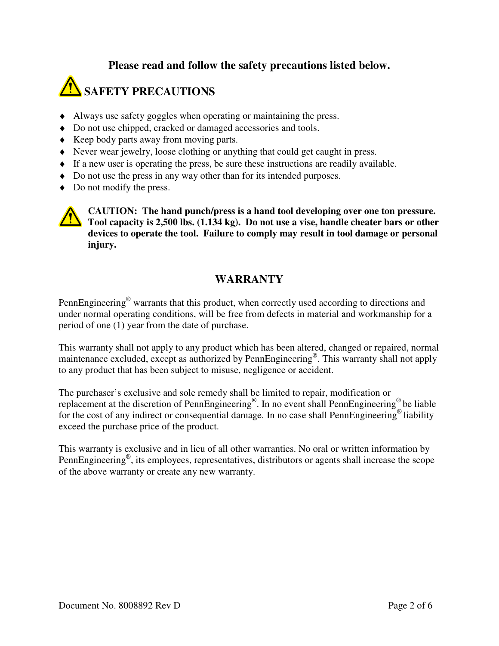#### **Please read and follow the safety precautions listed below.**

# **SAFETY PRECAUTIONS**

- ♦ Always use safety goggles when operating or maintaining the press.
- ♦ Do not use chipped, cracked or damaged accessories and tools.
- ♦ Keep body parts away from moving parts.
- ♦ Never wear jewelry, loose clothing or anything that could get caught in press.
- ♦ If a new user is operating the press, be sure these instructions are readily available.
- ♦ Do not use the press in any way other than for its intended purposes.
- Do not modify the press.



**CAUTION:** The hand punch/press is a hand tool developing over one ton pressure. **Tool capacity is 2,500 lbs. (1.134 kg). Do not use a vise, handle cheater bars or other devices to operate the tool. Failure to comply may result in tool damage or personal injury.** 

## **WARRANTY**

PennEngineering<sup>®</sup> warrants that this product, when correctly used according to directions and under normal operating conditions, will be free from defects in material and workmanship for a period of one (1) year from the date of purchase.

This warranty shall not apply to any product which has been altered, changed or repaired, normal maintenance excluded, except as authorized by PennEngineering®. This warranty shall not apply to any product that has been subject to misuse, negligence or accident.

The purchaser's exclusive and sole remedy shall be limited to repair, modification or replacement at the discretion of PennEngineering® . In no event shall PennEngineering® be liable for the cost of any indirect or consequential damage. In no case shall PennEngineering<sup>®</sup> liability exceed the purchase price of the product.

This warranty is exclusive and in lieu of all other warranties. No oral or written information by PennEngineering<sup>®</sup>, its employees, representatives, distributors or agents shall increase the scope of the above warranty or create any new warranty.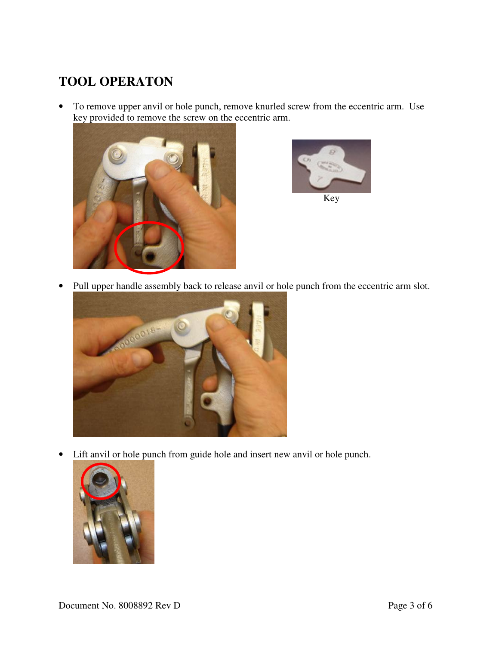## **TOOL OPERATON**

• To remove upper anvil or hole punch, remove knurled screw from the eccentric arm. Use key provided to remove the screw on the eccentric arm.





• Pull upper handle assembly back to release anvil or hole punch from the eccentric arm slot.



• Lift anvil or hole punch from guide hole and insert new anvil or hole punch.

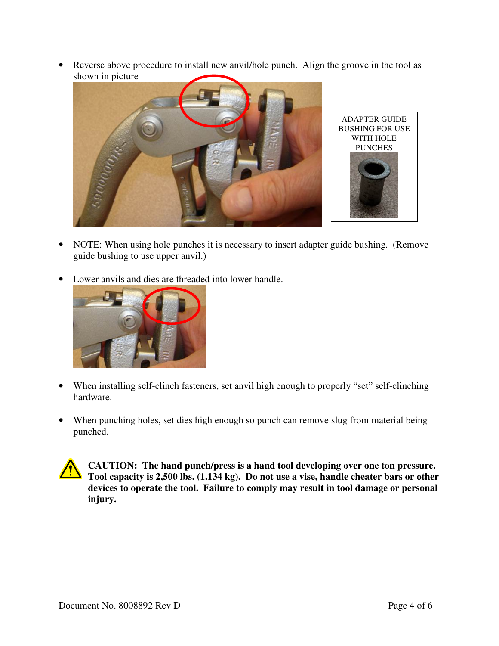• Reverse above procedure to install new anvil/hole punch. Align the groove in the tool as shown in picture



- NOTE: When using hole punches it is necessary to insert adapter guide bushing. (Remove guide bushing to use upper anvil.)
- Lower anvils and dies are threaded into lower handle.



- When installing self-clinch fasteners, set anvil high enough to properly "set" self-clinching hardware.
- When punching holes, set dies high enough so punch can remove slug from material being punched.

**CAUTION: The hand punch/press is a hand tool developing over one ton pressure. Tool capacity is 2,500 lbs. (1.134 kg). Do not use a vise, handle cheater bars or other devices to operate the tool. Failure to comply may result in tool damage or personal injury.**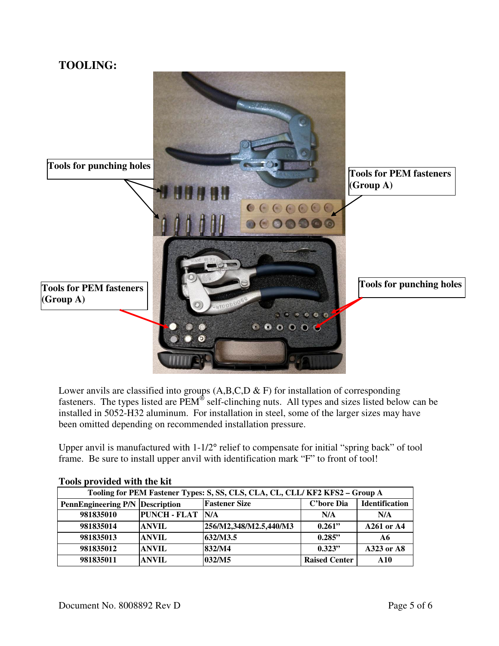## **TOOLING:**



Lower anvils are classified into groups  $(A,B,C,D \& E)$  for installation of corresponding fasteners. The types listed are  $\overline{PEM}^{\otimes}$  self-clinching nuts. All types and sizes listed below can be installed in 5052-H32 aluminum. For installation in steel, some of the larger sizes may have been omitted depending on recommended installation pressure.

Upper anvil is manufactured with 1-1/2° relief to compensate for initial "spring back" of tool frame. Be sure to install upper anvil with identification mark "F" to front of tool!

| TOOTS BLOTIGER WITH THE INTE                                                 |                     |                        |                      |                       |
|------------------------------------------------------------------------------|---------------------|------------------------|----------------------|-----------------------|
| Tooling for PEM Fastener Types: S, SS, CLS, CLA, CL, CLL/ KF2 KFS2 - Group A |                     |                        |                      |                       |
| <b>PennEngineering P/N Description</b>                                       |                     | <b>Fastener Size</b>   | C'bore Dia           | <b>Identification</b> |
| 981835010                                                                    | <b>PUNCH - FLAT</b> | <b>IN/A</b>            | N/A                  | N/A                   |
| 981835014                                                                    | <b>ANVIL</b>        | 256/M2,348/M2.5,440/M3 | 0.261"               | A261 or A4            |
| 981835013                                                                    | <b>ANVIL</b>        | 632/M3.5               | 0.285"               | A6                    |
| 981835012                                                                    | <b>ANVIL</b>        | 832/M4                 | 0.323"               | A323 or A8            |
| 981835011                                                                    | <b>ANVIL</b>        | 032/M5                 | <b>Raised Center</b> | A10                   |

#### **Tools provided with the kit**